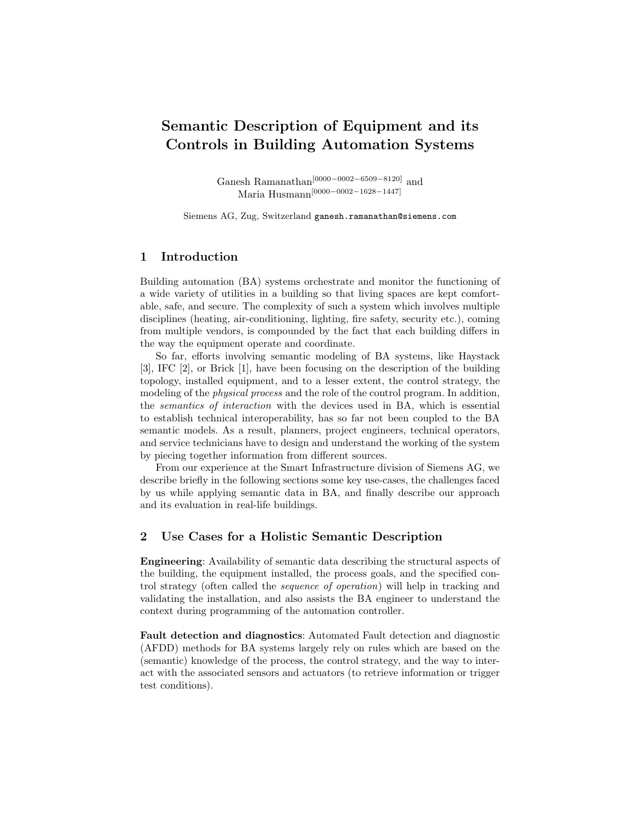# Semantic Description of Equipment and its Controls in Building Automation Systems

Ganesh Ramanathan[0000−0002−6509−8120] and Maria Husmann[0000−0002−1628−1447]

Siemens AG, Zug, Switzerland ganesh.ramanathan@siemens.com

### 1 Introduction

Building automation (BA) systems orchestrate and monitor the functioning of a wide variety of utilities in a building so that living spaces are kept comfortable, safe, and secure. The complexity of such a system which involves multiple disciplines (heating, air-conditioning, lighting, fire safety, security etc.), coming from multiple vendors, is compounded by the fact that each building differs in the way the equipment operate and coordinate.

So far, efforts involving semantic modeling of BA systems, like Haystack [3], IFC [2], or Brick [1], have been focusing on the description of the building topology, installed equipment, and to a lesser extent, the control strategy, the modeling of the physical process and the role of the control program. In addition, the semantics of interaction with the devices used in BA, which is essential to establish technical interoperability, has so far not been coupled to the BA semantic models. As a result, planners, project engineers, technical operators, and service technicians have to design and understand the working of the system by piecing together information from different sources.

From our experience at the Smart Infrastructure division of Siemens AG, we describe briefly in the following sections some key use-cases, the challenges faced by us while applying semantic data in BA, and finally describe our approach and its evaluation in real-life buildings.

### 2 Use Cases for a Holistic Semantic Description

Engineering: Availability of semantic data describing the structural aspects of the building, the equipment installed, the process goals, and the specified control strategy (often called the sequence of operation) will help in tracking and validating the installation, and also assists the BA engineer to understand the context during programming of the automation controller.

Fault detection and diagnostics: Automated Fault detection and diagnostic (AFDD) methods for BA systems largely rely on rules which are based on the (semantic) knowledge of the process, the control strategy, and the way to interact with the associated sensors and actuators (to retrieve information or trigger test conditions).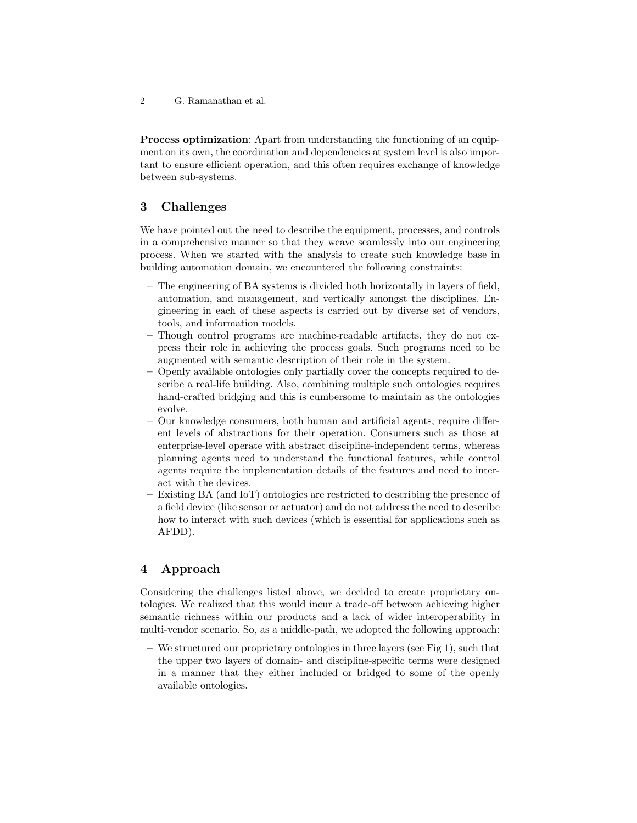2 G. Ramanathan et al.

Process optimization: Apart from understanding the functioning of an equipment on its own, the coordination and dependencies at system level is also important to ensure efficient operation, and this often requires exchange of knowledge between sub-systems.

### 3 Challenges

We have pointed out the need to describe the equipment, processes, and controls in a comprehensive manner so that they weave seamlessly into our engineering process. When we started with the analysis to create such knowledge base in building automation domain, we encountered the following constraints:

- The engineering of BA systems is divided both horizontally in layers of field, automation, and management, and vertically amongst the disciplines. Engineering in each of these aspects is carried out by diverse set of vendors, tools, and information models.
- Though control programs are machine-readable artifacts, they do not express their role in achieving the process goals. Such programs need to be augmented with semantic description of their role in the system.
- Openly available ontologies only partially cover the concepts required to describe a real-life building. Also, combining multiple such ontologies requires hand-crafted bridging and this is cumbersome to maintain as the ontologies evolve.
- Our knowledge consumers, both human and artificial agents, require different levels of abstractions for their operation. Consumers such as those at enterprise-level operate with abstract discipline-independent terms, whereas planning agents need to understand the functional features, while control agents require the implementation details of the features and need to interact with the devices.
- Existing BA (and IoT) ontologies are restricted to describing the presence of a field device (like sensor or actuator) and do not address the need to describe how to interact with such devices (which is essential for applications such as AFDD).

## 4 Approach

Considering the challenges listed above, we decided to create proprietary ontologies. We realized that this would incur a trade-off between achieving higher semantic richness within our products and a lack of wider interoperability in multi-vendor scenario. So, as a middle-path, we adopted the following approach:

– We structured our proprietary ontologies in three layers (see Fig 1), such that the upper two layers of domain- and discipline-specific terms were designed in a manner that they either included or bridged to some of the openly available ontologies.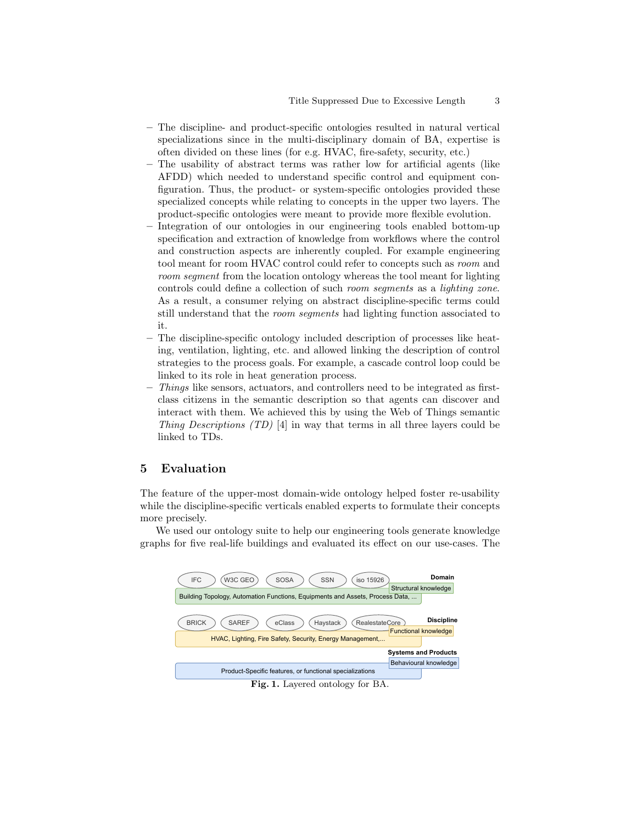- The discipline- and product-specific ontologies resulted in natural vertical specializations since in the multi-disciplinary domain of BA, expertise is often divided on these lines (for e.g. HVAC, fire-safety, security, etc.)
- The usability of abstract terms was rather low for artificial agents (like AFDD) which needed to understand specific control and equipment configuration. Thus, the product- or system-specific ontologies provided these specialized concepts while relating to concepts in the upper two layers. The product-specific ontologies were meant to provide more flexible evolution.
- Integration of our ontologies in our engineering tools enabled bottom-up specification and extraction of knowledge from workflows where the control and construction aspects are inherently coupled. For example engineering tool meant for room HVAC control could refer to concepts such as room and room segment from the location ontology whereas the tool meant for lighting controls could define a collection of such room segments as a lighting zone. As a result, a consumer relying on abstract discipline-specific terms could still understand that the room segments had lighting function associated to it.
- The discipline-specific ontology included description of processes like heating, ventilation, lighting, etc. and allowed linking the description of control strategies to the process goals. For example, a cascade control loop could be linked to its role in heat generation process.
- Things like sensors, actuators, and controllers need to be integrated as firstclass citizens in the semantic description so that agents can discover and interact with them. We achieved this by using the Web of Things semantic Thing Descriptions (TD) [4] in way that terms in all three layers could be linked to TDs.

### 5 Evaluation

The feature of the upper-most domain-wide ontology helped foster re-usability while the discipline-specific verticals enabled experts to formulate their concepts more precisely.

We used our ontology suite to help our engineering tools generate knowledge graphs for five real-life buildings and evaluated its effect on our use-cases. The